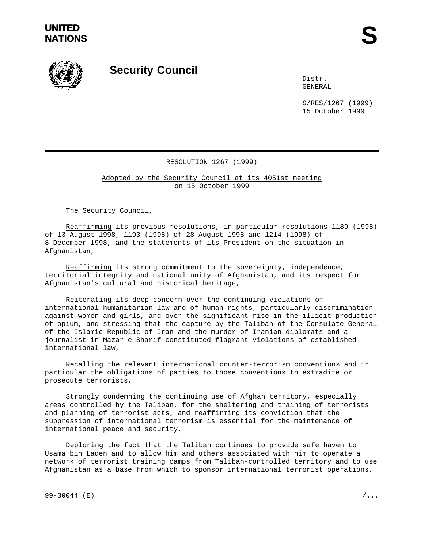

## **Security Council**

Distr. GENERAL

S/RES/1267 (1999) 15 October 1999

## RESOLUTION 1267 (1999)

Adopted by the Security Council at its 4051st meeting on 15 October 1999

The Security Council,

Reaffirming its previous resolutions, in particular resolutions 1189 (1998) of 13 August 1998, 1193 (1998) of 28 August 1998 and 1214 (1998) of 8 December 1998, and the statements of its President on the situation in Afghanistan,

Reaffirming its strong commitment to the sovereignty, independence, territorial integrity and national unity of Afghanistan, and its respect for Afghanistan's cultural and historical heritage,

Reiterating its deep concern over the continuing violations of international humanitarian law and of human rights, particularly discrimination against women and girls, and over the significant rise in the illicit production of opium, and stressing that the capture by the Taliban of the Consulate-General of the Islamic Republic of Iran and the murder of Iranian diplomats and a journalist in Mazar-e-Sharif constituted flagrant violations of established international law,

Recalling the relevant international counter-terrorism conventions and in particular the obligations of parties to those conventions to extradite or prosecute terrorists,

Strongly condemning the continuing use of Afghan territory, especially areas controlled by the Taliban, for the sheltering and training of terrorists and planning of terrorist acts, and **reaffirming** its conviction that the suppression of international terrorism is essential for the maintenance of international peace and security,

Deploring the fact that the Taliban continues to provide safe haven to Usama bin Laden and to allow him and others associated with him to operate a network of terrorist training camps from Taliban-controlled territory and to use Afghanistan as a base from which to sponsor international terrorist operations,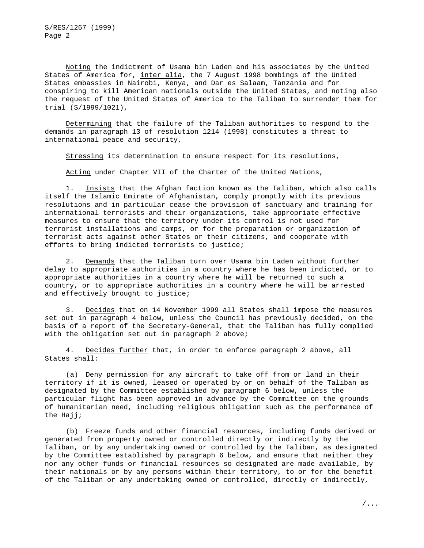S/RES/1267 (1999) Page 2

Noting the indictment of Usama bin Laden and his associates by the United States of America for, inter alia, the 7 August 1998 bombings of the United States embassies in Nairobi, Kenya, and Dar es Salaam, Tanzania and for conspiring to kill American nationals outside the United States, and noting also the request of the United States of America to the Taliban to surrender them for trial (S/1999/1021),

Determining that the failure of the Taliban authorities to respond to the demands in paragraph 13 of resolution 1214 (1998) constitutes a threat to international peace and security,

Stressing its determination to ensure respect for its resolutions,

Acting under Chapter VII of the Charter of the United Nations,

1. Insists that the Afghan faction known as the Taliban, which also calls itself the Islamic Emirate of Afghanistan, comply promptly with its previous resolutions and in particular cease the provision of sanctuary and training for international terrorists and their organizations, take appropriate effective measures to ensure that the territory under its control is not used for terrorist installations and camps, or for the preparation or organization of terrorist acts against other States or their citizens, and cooperate with efforts to bring indicted terrorists to justice;

2. Demands that the Taliban turn over Usama bin Laden without further delay to appropriate authorities in a country where he has been indicted, or to appropriate authorities in a country where he will be returned to such a country, or to appropriate authorities in a country where he will be arrested and effectively brought to justice;

3. Decides that on 14 November 1999 all States shall impose the measures set out in paragraph 4 below, unless the Council has previously decided, on the basis of a report of the Secretary-General, that the Taliban has fully complied with the obligation set out in paragraph 2 above;

4. Decides further that, in order to enforce paragraph 2 above, all States shall:

(a) Deny permission for any aircraft to take off from or land in their territory if it is owned, leased or operated by or on behalf of the Taliban as designated by the Committee established by paragraph 6 below, unless the particular flight has been approved in advance by the Committee on the grounds of humanitarian need, including religious obligation such as the performance of the Hajj;

(b) Freeze funds and other financial resources, including funds derived or generated from property owned or controlled directly or indirectly by the Taliban, or by any undertaking owned or controlled by the Taliban, as designated by the Committee established by paragraph 6 below, and ensure that neither they nor any other funds or financial resources so designated are made available, by their nationals or by any persons within their territory, to or for the benefit of the Taliban or any undertaking owned or controlled, directly or indirectly,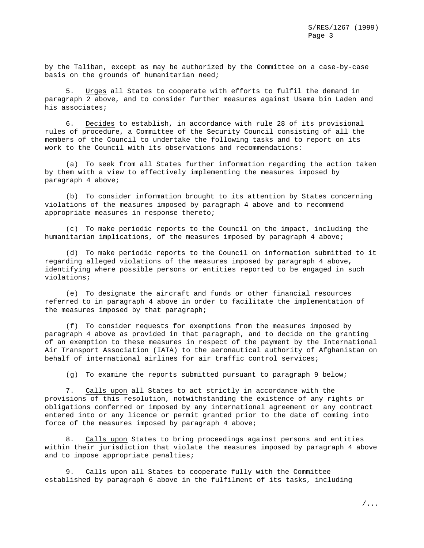by the Taliban, except as may be authorized by the Committee on a case-by-case basis on the grounds of humanitarian need;

5. Urges all States to cooperate with efforts to fulfil the demand in paragraph 2 above, and to consider further measures against Usama bin Laden and his associates;

6. Decides to establish, in accordance with rule 28 of its provisional rules of procedure, a Committee of the Security Council consisting of all the members of the Council to undertake the following tasks and to report on its work to the Council with its observations and recommendations:

(a) To seek from all States further information regarding the action taken by them with a view to effectively implementing the measures imposed by paragraph 4 above;

(b) To consider information brought to its attention by States concerning violations of the measures imposed by paragraph 4 above and to recommend appropriate measures in response thereto;

(c) To make periodic reports to the Council on the impact, including the humanitarian implications, of the measures imposed by paragraph 4 above;

(d) To make periodic reports to the Council on information submitted to it regarding alleged violations of the measures imposed by paragraph 4 above, identifying where possible persons or entities reported to be engaged in such violations;

(e) To designate the aircraft and funds or other financial resources referred to in paragraph 4 above in order to facilitate the implementation of the measures imposed by that paragraph;

(f) To consider requests for exemptions from the measures imposed by paragraph 4 above as provided in that paragraph, and to decide on the granting of an exemption to these measures in respect of the payment by the International Air Transport Association (IATA) to the aeronautical authority of Afghanistan on behalf of international airlines for air traffic control services;

(g) To examine the reports submitted pursuant to paragraph 9 below;

7. Calls upon all States to act strictly in accordance with the provisions of this resolution, notwithstanding the existence of any rights or obligations conferred or imposed by any international agreement or any contract entered into or any licence or permit granted prior to the date of coming into force of the measures imposed by paragraph 4 above;

8. Calls upon States to bring proceedings against persons and entities within their jurisdiction that violate the measures imposed by paragraph 4 above and to impose appropriate penalties;

9. Calls upon all States to cooperate fully with the Committee established by paragraph 6 above in the fulfilment of its tasks, including